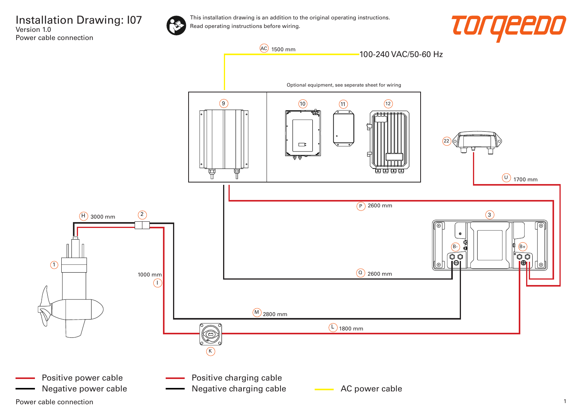

This installation drawing is an addition to the original operating instructions. Read operating instructions before wiring.





Power cable connection 2008 and 2008 and 2008 and 2008 and 2008 and 2008 and 2008 and 2008 and 2008 and 2008 and 2008 and 2008 and 2008 and 2008 and 2008 and 2008 and 2008 and 2008 and 2008 and 2008 and 2008 and 2008 and 2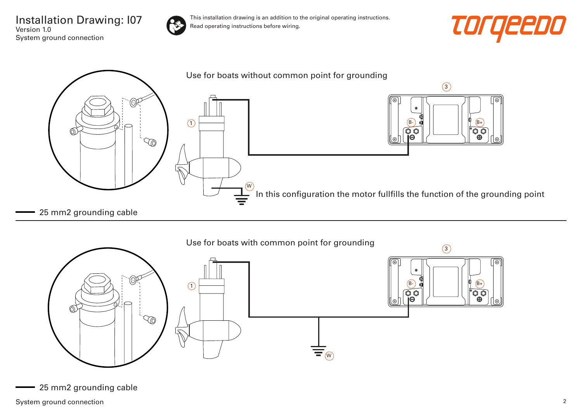Installation Drawing: I07 Version 1.0 System ground connection



This installation drawing is an addition to the original operating instructions. Read operating instructions before wiring.







25 mm2 grounding cable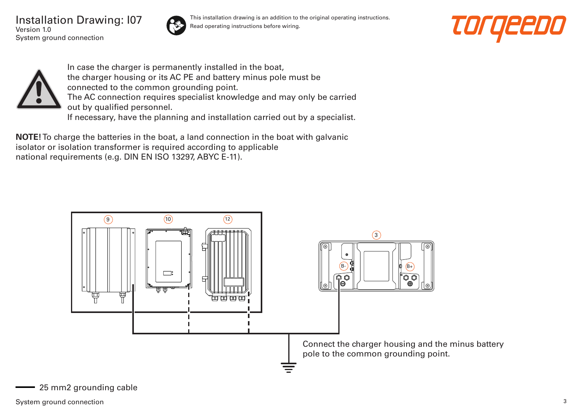Installation Drawing: I07 Version 1.0 System ground connection



This installation drawing is an addition to the original operating instructions. Read operating instructions before wiring.





In case the charger is permanently installed in the boat, the charger housing or its AC PE and battery minus pole must be connected to the common grounding point. The AC connection requires specialist knowledge and may only be carried out by qualified personnel. If necessary, have the planning and installation carried out by a specialist.

**NOTE!** To charge the batteries in the boat, a land connection in the boat with galvanic isolator or isolation transformer is required according to applicable national requirements (e.g. DIN EN ISO 13297, ABYC E-11).

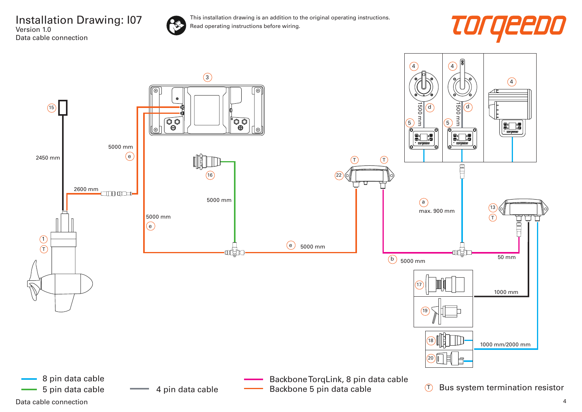

This installation drawing is an addition to the original operating instructions. Read operating instructions before wiring.



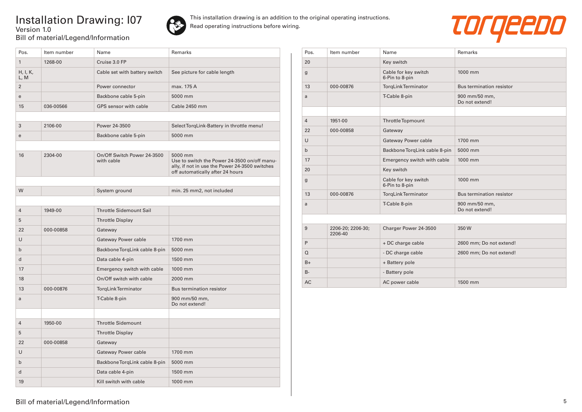## Installation Drawing: I07 Version 1.0 Bill of material/Legend/Information



This installation drawing is an addition to the original operating instructions. Read operating instructions before wiring.



| Pos.             | Item number | Name                                      | Remarks                                                                                                                                       |
|------------------|-------------|-------------------------------------------|-----------------------------------------------------------------------------------------------------------------------------------------------|
| $\mathbf{1}$     | 1268-00     | Cruise 3.0 FP                             |                                                                                                                                               |
| H, I, K,<br>L, M |             | Cable set with battery switch             | See picture for cable length                                                                                                                  |
| $\overline{2}$   |             | Power connector                           | max. 175 A                                                                                                                                    |
| e                |             | Backbone cable 5-pin                      | 5000 mm                                                                                                                                       |
| 15               | 036-00566   | GPS sensor with cable                     | Cable 2450 mm                                                                                                                                 |
|                  |             |                                           |                                                                                                                                               |
| 3                | 2106-00     | Power 24-3500                             | Select TorgLink-Battery in throttle menu!                                                                                                     |
| e                |             | Backbone cable 5-pin                      | 5000 mm                                                                                                                                       |
|                  |             |                                           |                                                                                                                                               |
| 16               | 2304-00     | On/Off Switch Power 24-3500<br>with cable | 5000 mm<br>Use to switch the Power 24-3500 on/off manu-<br>ally, if not in use the Power 24-3500 switches<br>off automatically after 24 hours |
|                  |             |                                           |                                                                                                                                               |
| W                |             | System ground                             | min. 25 mm2, not included                                                                                                                     |
|                  |             |                                           |                                                                                                                                               |
| $\overline{4}$   | 1949-00     | <b>Throttle Sidemount Sail</b>            |                                                                                                                                               |
| 5                |             | <b>Throttle Display</b>                   |                                                                                                                                               |
| 22               | 000-00858   | Gateway                                   |                                                                                                                                               |
| $\cup$           |             | Gateway Power cable                       | 1700 mm                                                                                                                                       |
| $\mathsf{b}$     |             | Backbone TorgLink cable 8-pin             | 5000 mm                                                                                                                                       |
| d                |             | Data cable 4-pin                          | 1500 mm                                                                                                                                       |
| 17               |             | Emergency switch with cable               | 1000 mm                                                                                                                                       |
| 18               |             | On/Off switch with cable                  | 2000 mm                                                                                                                                       |
| 13               | 000-00876   | <b>TorgLink Terminator</b>                | <b>Bus termination resistor</b>                                                                                                               |
| a                |             | T-Cable 8-pin                             | 900 mm/50 mm,<br>Do not extend!                                                                                                               |
|                  |             |                                           |                                                                                                                                               |
| $\overline{4}$   | 1950-00     | <b>Throttle Sidemount</b>                 |                                                                                                                                               |
| 5                |             | <b>Throttle Display</b>                   |                                                                                                                                               |
| 22               | 000-00858   | Gateway                                   |                                                                                                                                               |
| $\cup$           |             | Gateway Power cable                       | 1700 mm                                                                                                                                       |
| $\mathsf{b}$     |             | Backbone TorgLink cable 8-pin             | 5000 mm                                                                                                                                       |
| d                |             | Data cable 4-pin                          | 1500 mm                                                                                                                                       |
| 19               |             | Kill switch with cable                    | 1000 mm                                                                                                                                       |

| Pos.           | Item number                  | Name                                   | Remarks                         |
|----------------|------------------------------|----------------------------------------|---------------------------------|
| 20             |                              | Key switch                             |                                 |
| $\mathbf g$    |                              | Cable for key switch<br>6-Pin to 8-pin | 1000 mm                         |
| 13             | 000-00876                    | <b>TorgLink Terminator</b>             | Bus termination resistor        |
| a              |                              | T-Cable 8-pin                          | 900 mm/50 mm,<br>Do not extend! |
|                |                              |                                        |                                 |
| $\overline{4}$ | 1951-00                      | <b>ThrottleTopmount</b>                |                                 |
| 22             | 000-00858                    | Gateway                                |                                 |
| U              |                              | Gateway Power cable                    | 1700 mm                         |
| $\mathsf{b}$   |                              | Backbone TorgLink cable 8-pin          | 5000 mm                         |
| 17             |                              | Emergency switch with cable            | 1000 mm                         |
| 20             |                              | Key switch                             |                                 |
| $\mathbf g$    |                              | Cable for key switch<br>6-Pin to 8-pin | 1000 mm                         |
| 13             | 000-00876                    | <b>TorgLink Terminator</b>             | Bus termination resistor        |
| a              |                              | T-Cable 8-pin                          | 900 mm/50 mm,<br>Do not extend! |
|                |                              |                                        |                                 |
| 9              | 2206-20; 2206-30;<br>2206-40 | Charger Power 24-3500                  | 350W                            |
| P              |                              | + DC charge cable                      | 2600 mm; Do not extend!         |
| $\Omega$       |                              | - DC charge cable                      | 2600 mm; Do not extend!         |
| $B+$           |                              | + Battery pole                         |                                 |
| $B -$          |                              | - Battery pole                         |                                 |
| AC             |                              | AC power cable                         | 1500 mm                         |

## Bill of material/Legend/Information 5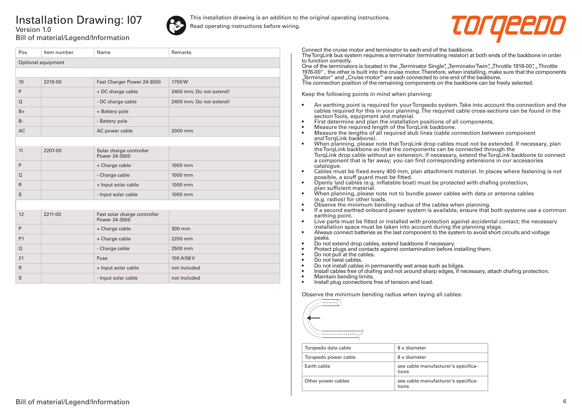## Installation Drawing: I07 Version 1.0



This installation drawing is an addition to the original operating instructions. Read operating instructions before wiring.



Bill of material/Legend/Information

| Pos.               | Item number | Name                                          | <b>Remarks</b>          |  |
|--------------------|-------------|-----------------------------------------------|-------------------------|--|
| Optional equipment |             |                                               |                         |  |
|                    |             |                                               |                         |  |
| 10                 | 2210-00     | Fast Charger Power 24-3500                    | 1700W                   |  |
| P                  |             | + DC charge cable                             | 2400 mm; Do not extend! |  |
| $\Omega$           |             | - DC charge cable                             | 2400 mm; Do not extend! |  |
| $B+$               |             | + Battery pole                                |                         |  |
| $B -$              |             | - Battery pole                                |                         |  |
| <b>AC</b>          |             | AC power cable                                | 2000 mm                 |  |
|                    |             |                                               |                         |  |
| 11                 | 2207-00     | Solar charge controller<br>Power 24-3500      |                         |  |
| P                  |             | + Charge cable                                | 1000 mm                 |  |
| $\Omega$           |             | - Charge cable                                | 1000 mm                 |  |
| $\mathsf{R}$       |             | + Input solar cable                           | 1000 mm                 |  |
| S                  |             | - Input solar cable                           | 1000 mm                 |  |
|                    |             |                                               |                         |  |
| 12                 | 2211-00     | Fast solar charge controller<br>Power 24-3500 |                         |  |
| P                  |             | + Charge cable                                | 300 mm                  |  |
| P1                 |             | + Charge cable                                | 2200 mm                 |  |
| $\Omega$           |             | - Charge cable                                | 2500 mm                 |  |
| 21                 |             | Fuse                                          | 100 A/58 V              |  |
| $\mathsf{R}$       |             | + Input solar cable                           | not included            |  |
| S                  |             | - Input solar cable                           | not included            |  |

Connect the cruise motor and terminator to each end of the backbone.

The TorqLink bus system requires a terminator (terminating resistor) at both ends of the backbone in order to function correctly.

One of the terminators is located in the "Terminator Single", "Terminator Twin", "Throttle 1918-00", "Throttle 1976-00" , the other is built into the cruise motor. Therefore, when installing, make sure that the components "Terminator" and "Cruise motor" are each connected to one end of the backbone.

The connection position of the remaining components on the backbone can be freely selected.

Keep the following points in mind when planning:

- An earthing point is required for your Torqeedo system. Take into account the connection and the cables required for this in your planning. The required cable cross-sections can be found in the section Tools, equipment and material.
- First determine and plan the installation positions of all components.
- Measure the required length of the TorqLink backbone.<br>• Measure the lengths of all required stub lines (cable co
- Measure the lengths of all required stub lines (cable connection between component and TorgLink backbone).
- When planning, please note that TorqLink drop cables must not be extended. If necessary, plan the TorqLink backbone so that the components can be connected through the TorqLink drop cable without an extension. If necessary, extend the TorqLink backbone to connect a component that is far away; you can find corresponding extensions in our accessories catalogue.
- Cables must be fixed every 400 mm, plan attachment material. In places where fastening is not possible, a scuff guard must be fitted.
- Openly laid cables (e.g. inflatable boat) must be protected with chafing protection, plan sufficient material.
- When planning, please note not to bundle power cables with data or antenna cables (e.g. radios) for other loads.
- Observe the minimum bending radius of the cables when planning.
- If a second earthed onboard power system is available, ensure that both systems use a common earthing point.
- Live parts must be fitted or installed with protection against accidental contact; the necessary installation space must be taken into account during the planning stage.
- Always connect batteries as the last component to the system to avoid short circuits and voltage peaks.
- Do not extend drop cables, extend backbone if necessary.
- Protect plugs and contacts against contamination before installing them.
- Do not pull at the cables.
- Do not twist cables.
- Do not install cables in permanently wet areas such as bilges.
- Install cables free of chafing and not around sharp edges, if necessary, attach chafing protection.<br>• Maintain bending limits
- Maintain bending limits.
- Install plug connections free of tension and load.

Observe the minimum bending radius when laying all cables:



| Torgeedo data cable  | 8 x diameter                                 |
|----------------------|----------------------------------------------|
| Torgeedo power cable | 8 x diameter                                 |
| Farth cable          | see cable manufacturer's specifica-<br>tions |
| Other power cables   | see cable manufacturer's specifica-<br>tions |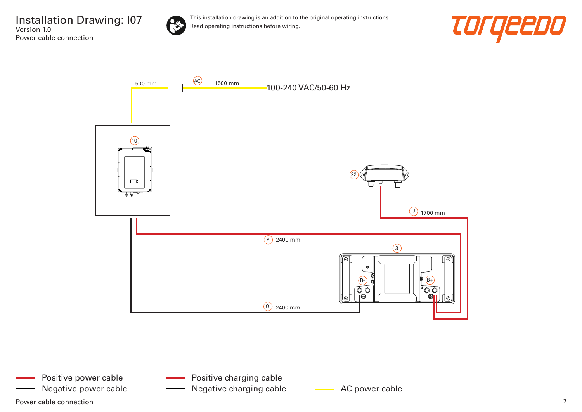

This installation drawing is an addition to the original operating instructions. Read operating instructions before wiring.





Power cable connection  $\overline{7}$ Positive power cable

- Positive charging cable
- Negative power cable **AC AC power cable** AC power cable Negative charging cable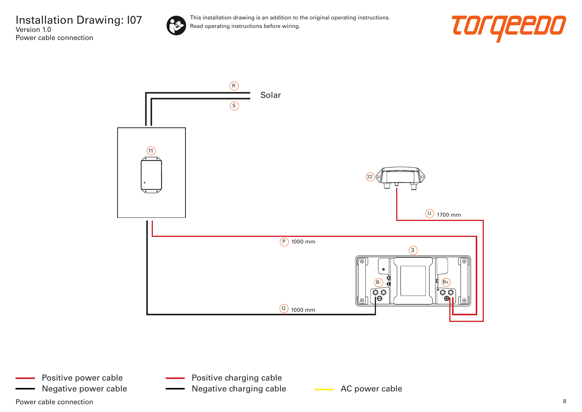

This installation drawing is an addition to the original operating instructions. Read operating instructions before wiring.





Power cable connection and the connection of the set of the set of the set of the set of the set of the set of the set of the set of the set of the set of the set of the set of the set of the set of the set of the set of t Positive power cable Negative power cable **AC AC power cable** Negative charging cable **AC** power cable

Positive charging cable